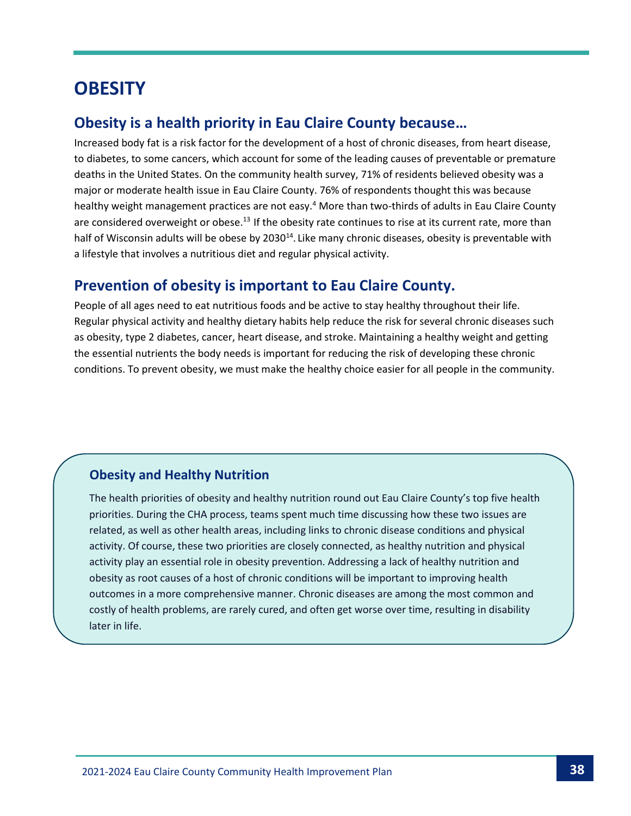# **OBESITY**

## **Obesity is a health priority in Eau Claire County because…**

Increased body fat is a risk factor for the development of a host of chronic diseases, from heart disease, to diabetes, to some cancers, which account for some of the leading causes of preventable or premature deaths in the United States. On the community health survey, 71% of residents believed obesity was a major or moderate health issue in Eau Claire County. 76% of respondents thought this was because healthy weight management practices are not easy.<sup>4</sup> More than two-thirds of adults in Eau Claire County are considered overweight or obese.<sup>13</sup> If the obesity rate continues to rise at its current rate, more than half of Wisconsin adults will be obese by 2030<sup>14</sup>. Like many chronic diseases, obesity is preventable with a lifestyle that involves a nutritious diet and regular physical activity.

## **Prevention of obesity is important to Eau Claire County.**

People of all ages need to eat nutritious foods and be active to stay healthy throughout their life. Regular physical activity and healthy dietary habits help reduce the risk for several chronic diseases such as obesity, type 2 diabetes, cancer, heart disease, and stroke. Maintaining a healthy weight and getting the essential nutrients the body needs is important for reducing the risk of developing these chronic conditions. To prevent obesity, we must make the healthy choice easier for all people in the community.

### **Obesity and Healthy Nutrition**

The health priorities of obesity and healthy nutrition round out Eau Claire County's top five health priorities. During the CHA process, teams spent much time discussing how these two issues are related, as well as other health areas, including links to chronic disease conditions and physical activity. Of course, these two priorities are closely connected, as healthy nutrition and physical activity play an essential role in obesity prevention. Addressing a lack of healthy nutrition and obesity as root causes of a host of chronic conditions will be important to improving health outcomes in a more comprehensive manner. Chronic diseases are among the most common and costly of health problems, are rarely cured, and often get worse over time, resulting in disability later in life.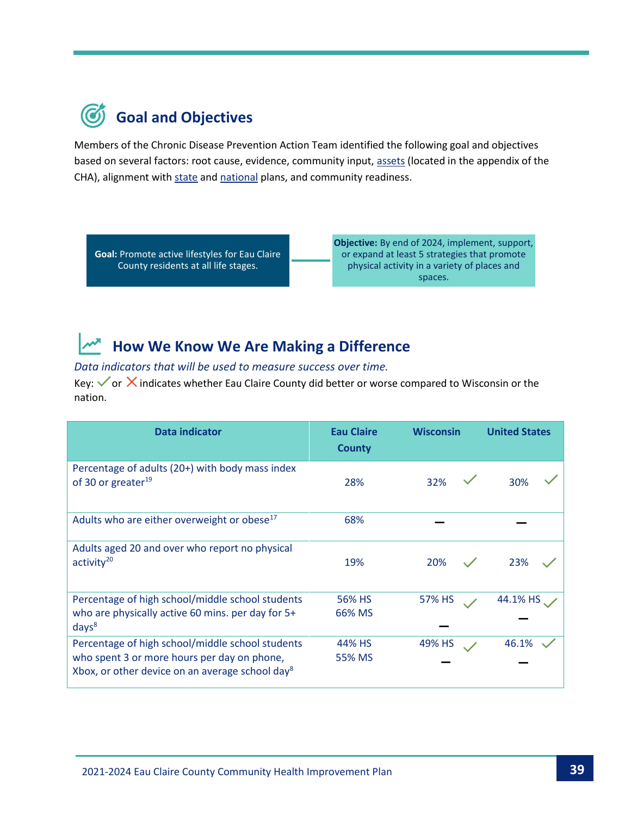

Members of the Chronic Disease Prevention Action Team identified the following goal and objectives based on several factors: root cause, evidence, community input[, assets](https://www.eauclairewi.gov/home/showpublisheddocument/25104/637558200633100000) (located in the appendix of the CHA), alignment wit[h state](https://www.dhs.wisconsin.gov/hw2020/index.htm) an[d national](https://health.gov/healthypeople) plans, and community readiness.

**Goal:** Promote active lifestyles for Eau Claire County residents at all life stages.

**Objective:** By end of 2024, implement, support, or expand at least 5 strategies that promote physical activity in a variety of places and spaces.

## **How We Know We Are Making a Difference**

#### *Data indicators that will be used to measure success over time.*

Key:  $\checkmark$  or  $\checkmark$  indicates whether Eau Claire County did better or worse compared to Wisconsin or the nation.

| <b>Data indicator</b>                                                                                      | <b>Eau Claire</b><br><b>County</b> | <b>Wisconsin</b> | <b>United States</b> |
|------------------------------------------------------------------------------------------------------------|------------------------------------|------------------|----------------------|
| Percentage of adults (20+) with body mass index<br>of 30 or greater <sup>19</sup>                          | 28%                                | 32%              | 30%                  |
| Adults who are either overweight or obese <sup>17</sup>                                                    | 68%                                |                  |                      |
| Adults aged 20 and over who report no physical<br>$\arctivity20$                                           | 19%                                | 20%              | 23%                  |
| Percentage of high school/middle school students                                                           | 56% HS                             | 57% HS           | 44.1% HS             |
| who are physically active 60 mins. per day for 5+<br>days <sup>8</sup>                                     | 66% MS                             |                  |                      |
| Percentage of high school/middle school students                                                           | 44% HS                             | 49% HS           | 46.1%                |
| who spent 3 or more hours per day on phone,<br>Xbox, or other device on an average school day <sup>8</sup> | 55% MS                             |                  |                      |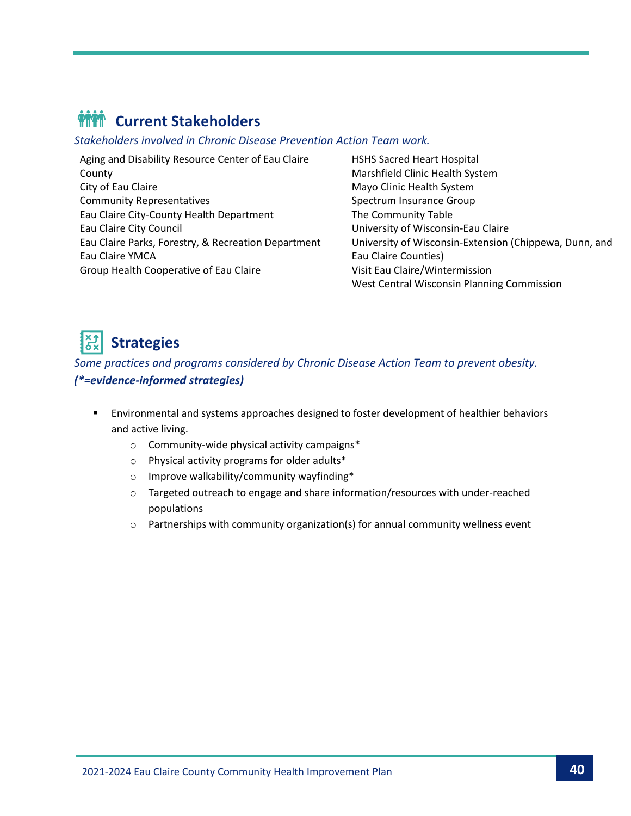# **MM** Current Stakeholders

*Stakeholders involved in Chronic Disease Prevention Action Team work.*

Aging and Disability Resource Center of Eau Claire County City of Eau Claire Community Representatives Eau Claire City-County Health Department Eau Claire City Council Eau Claire Parks, Forestry, & Recreation Department Eau Claire YMCA Group Health Cooperative of Eau Claire

HSHS Sacred Heart Hospital Marshfield Clinic Health System Mayo Clinic Health System Spectrum Insurance Group The Community Table University of Wisconsin-Eau Claire University of Wisconsin-Extension (Chippewa, Dunn, and Eau Claire Counties) Visit Eau Claire/Wintermission West Central Wisconsin Planning Commission

# **Strategies**

*Some practices and programs considered by Chronic Disease Action Team to prevent obesity. (\*=evidence-informed strategies)*

- Environmental and systems approaches designed to foster development of healthier behaviors and active living.
	- o Community-wide physical activity campaigns\*
	- o Physical activity programs for older adults\*
	- o Improve walkability/community wayfinding\*
	- o Targeted outreach to engage and share information/resources with under-reached populations
	- $\circ$  Partnerships with community organization(s) for annual community wellness event